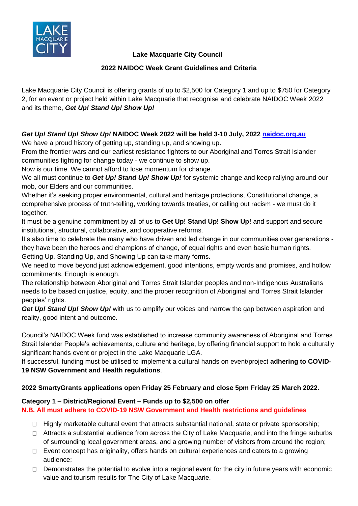

# **Lake Macquarie City Council**

# **2022 NAIDOC Week Grant Guidelines and Criteria**

Lake Macquarie City Council is offering grants of up to \$2,500 for Category 1 and up to \$750 for Category 2, for an event or project held within Lake Macquarie that recognise and celebrate NAIDOC Week 2022 and its theme, *Get Up! Stand Up! Show Up!*

# *Get Up! Stand Up! Show Up!* **NAIDOC Week 2022 will be held 3-10 July, 2022 [naidoc.org.au](http://www.naidoc.org.au/)**

We have a proud history of getting up, standing up, and showing up.

From the frontier wars and our earliest resistance fighters to our Aboriginal and Torres Strait Islander communities fighting for change today - we continue to show up.

Now is our time. We cannot afford to lose momentum for change.

We all must continue to *Get Up! Stand Up! Show Up!* for systemic change and keep rallying around our mob, our Elders and our communities.

Whether it's seeking proper environmental, cultural and heritage protections, Constitutional change, a comprehensive process of truth-telling, working towards treaties, or calling out racism - we must do it together.

It must be a genuine commitment by all of us to **Get Up! Stand Up! Show Up!** and support and secure institutional, structural, collaborative, and cooperative reforms.

It's also time to celebrate the many who have driven and led change in our communities over generations they have been the heroes and champions of change, of equal rights and even basic human rights. Getting Up, Standing Up, and Showing Up can take many forms.

We need to move beyond just acknowledgement, good intentions, empty words and promises, and hollow commitments. Enough is enough.

The relationship between Aboriginal and Torres Strait Islander peoples and non-Indigenous Australians needs to be based on justice, equity, and the proper recognition of Aboriginal and Torres Strait Islander peoples' rights.

*Get Up! Stand Up! Show Up!* with us to amplify our voices and narrow the gap between aspiration and reality, good intent and outcome.

Council's NAIDOC Week fund was established to increase community awareness of Aboriginal and Torres Strait Islander People's achievements, culture and heritage, by offering financial support to hold a culturally significant hands event or project in the Lake Macquarie LGA.

If successful, funding must be utilised to implement a cultural hands on event/project **adhering to COVID-19 NSW Government and Health regulations**.

# **2022 SmartyGrants applications open Friday 25 February and close 5pm Friday 25 March 2022.**

# **Category 1 – District/Regional Event – Funds up to \$2,500 on offer N.B. All must adhere to COVID-19 NSW Government and Health restrictions and guidelines**

- $\Box$  Highly marketable cultural event that attracts substantial national, state or private sponsorship;
- $\Box$  Attracts a substantial audience from across the City of Lake Macquarie, and into the fringe suburbs of surrounding local government areas, and a growing number of visitors from around the region;
- $\Box$  Event concept has originality, offers hands on cultural experiences and caters to a growing audience;
- $\Box$  Demonstrates the potential to evolve into a regional event for the city in future years with economic value and tourism results for The City of Lake Macquarie.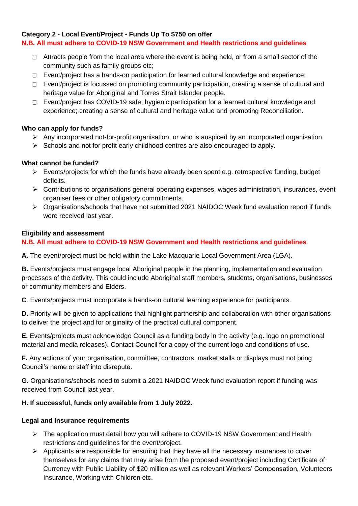# **Category 2 - Local Event/Project - Funds Up To \$750 on offer**

## **N.B. All must adhere to COVID-19 NSW Government and Health restrictions and guidelines**

- $\Box$  Attracts people from the local area where the event is being held, or from a small sector of the community such as family groups etc;
- Event/project has a hands-on participation for learned cultural knowledge and experience;
- $\Box$  Event/project is focussed on promoting community participation, creating a sense of cultural and heritage value for Aboriginal and Torres Strait Islander people.
- □ Event/project has COVID-19 safe, hygienic participation for a learned cultural knowledge and experience; creating a sense of cultural and heritage value and promoting Reconciliation.

#### **Who can apply for funds?**

- ➢ Any incorporated not-for-profit organisation, or who is auspiced by an incorporated organisation.
- ➢ Schools and not for profit early childhood centres are also encouraged to apply.

#### **What cannot be funded?**

- $\triangleright$  Events/projects for which the funds have already been spent e.g. retrospective funding, budget deficits.
- ➢ Contributions to organisations general operating expenses, wages administration, insurances, event organiser fees or other obligatory commitments.
- ➢ Organisations/schools that have not submitted 2021 NAIDOC Week fund evaluation report if funds were received last year.

#### **Eligibility and assessment**

## **N.B. All must adhere to COVID-19 NSW Government and Health restrictions and guidelines**

**A.** The event/project must be held within the Lake Macquarie Local Government Area (LGA).

**B.** Events/projects must engage local Aboriginal people in the planning, implementation and evaluation processes of the activity. This could include Aboriginal staff members, students, organisations, businesses or community members and Elders.

**C**. Events/projects must incorporate a hands-on cultural learning experience for participants.

**D.** Priority will be given to applications that highlight partnership and collaboration with other organisations to deliver the project and for originality of the practical cultural component.

**E.** Events/projects must acknowledge Council as a funding body in the activity (e.g. logo on promotional material and media releases). Contact Council for a copy of the current logo and conditions of use.

**F.** Any actions of your organisation, committee, contractors, market stalls or displays must not bring Council's name or staff into disrepute.

**G.** Organisations/schools need to submit a 2021 NAIDOC Week fund evaluation report if funding was received from Council last year.

#### **H. If successful, funds only available from 1 July 2022.**

#### **Legal and Insurance requirements**

- ➢ The application must detail how you will adhere to COVID-19 NSW Government and Health restrictions and guidelines for the event/project.
- $\triangleright$  Applicants are responsible for ensuring that they have all the necessary insurances to cover themselves for any claims that may arise from the proposed event/project including Certificate of Currency with Public Liability of \$20 million as well as relevant Workers' Compensation, Volunteers Insurance, Working with Children etc.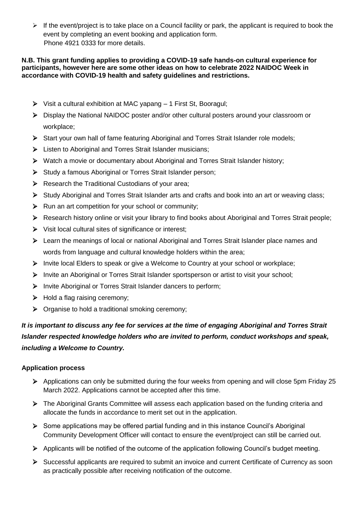$\triangleright$  If the event/project is to take place on a Council facility or park, the applicant is required to book the event by completing an event booking and application form. Phone 4921 0333 for more details.

#### **N.B. This grant funding applies to providing a COVID-19 safe hands-on cultural experience for participants, however here are some other ideas on how to celebrate 2022 NAIDOC Week in accordance with COVID-19 health and safety guidelines and restrictions.**

- ➢ Visit a cultural exhibition at MAC yapang 1 First St, Booragul;
- ➢ Display the National NAIDOC poster and/or other cultural posters around your classroom or workplace;
- ➢ Start your own hall of fame featuring Aboriginal and Torres Strait Islander role models;
- ➢ Listen to Aboriginal and Torres Strait Islander musicians;
- ➢ Watch a movie or documentary about Aboriginal and Torres Strait Islander history;
- ➢ Study a famous Aboriginal or Torres Strait Islander person;
- ➢ Research the Traditional Custodians of your area;
- ➢ Study Aboriginal and Torres Strait Islander arts and crafts and book into an art or weaving class;
- ➢ Run an art competition for your school or community;
- ➢ Research history online or visit your library to find books about Aboriginal and Torres Strait people;
- ➢ Visit local cultural sites of significance or interest;
- ➢ Learn the meanings of local or national Aboriginal and Torres Strait Islander place names and words from language and cultural knowledge holders within the area;
- ➢ Invite local Elders to speak or give a Welcome to Country at your school or workplace;
- ➢ Invite an Aboriginal or Torres Strait Islander sportsperson or artist to visit your school;
- ➢ Invite Aboriginal or Torres Strait Islander dancers to perform;
- ➢ Hold a flag raising ceremony;
- ➢ Organise to hold a traditional smoking ceremony;

*It is important to discuss any fee for services at the time of engaging Aboriginal and Torres Strait Islander respected knowledge holders who are invited to perform, conduct workshops and speak, including a Welcome to Country.* 

# **Application process**

- ➢ Applications can only be submitted during the four weeks from opening and will close 5pm Friday 25 March 2022. Applications cannot be accepted after this time.
- ➢ The Aboriginal Grants Committee will assess each application based on the funding criteria and allocate the funds in accordance to merit set out in the application.
- ➢ Some applications may be offered partial funding and in this instance Council's Aboriginal Community Development Officer will contact to ensure the event/project can still be carried out.
- ➢ Applicants will be notified of the outcome of the application following Council's budget meeting.
- ➢ Successful applicants are required to submit an invoice and current Certificate of Currency as soon as practically possible after receiving notification of the outcome.